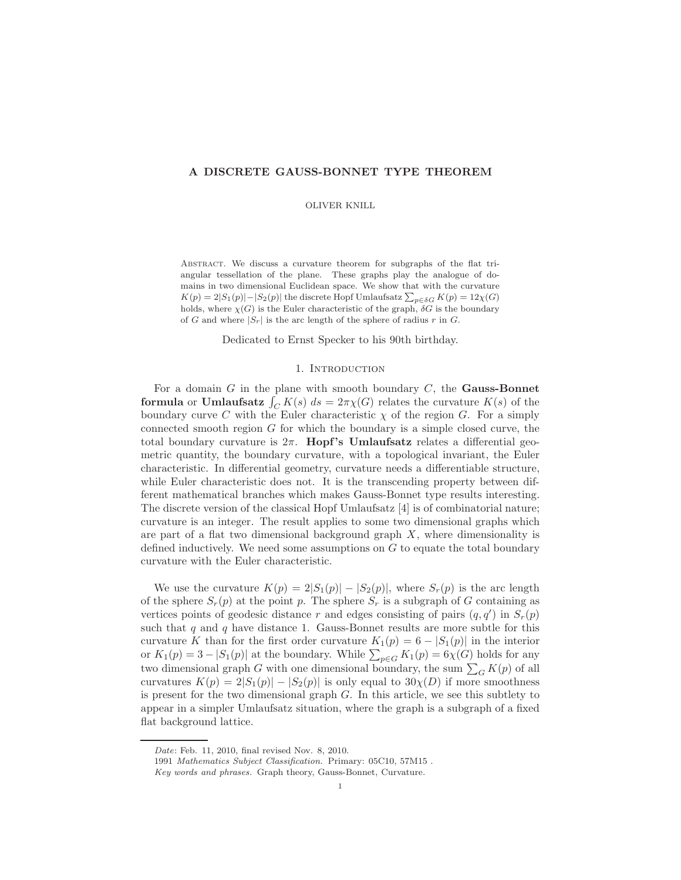### A DISCRETE GAUSS-BONNET TYPE THEOREM

#### OLIVER KNILL

Abstract. We discuss a curvature theorem for subgraphs of the flat triangular tessellation of the plane. These graphs play the analogue of domains in two dimensional Euclidean space. We show that with the curvature  $K(p) = 2|S_1(p)| - |S_2(p)|$  the discrete Hopf Umlaufsatz  $\sum_{p \in \delta G} K(p) = 12\chi(G)$ holds, where  $\chi(G)$  is the Euler characteristic of the graph,  $\delta G$  is the boundary of G and where  $|S_r|$  is the arc length of the sphere of radius r in G.

Dedicated to Ernst Specker to his 90th birthday.

#### 1. Introduction

For a domain G in the plane with smooth boundary  $C$ , the **Gauss-Bonnet formula** or **Umlaufsatz**  $\int_C K(s) ds = 2\pi \chi(G)$  relates the curvature  $K(s)$  of the boundary curve C with the Euler characteristic  $\chi$  of the region G. For a simply connected smooth region  $G$  for which the boundary is a simple closed curve, the total boundary curvature is  $2\pi$ . **Hopf's Umlaufsatz** relates a differential geometric quantity, the boundary curvature, with a topological invariant, the Euler characteristic. In differential geometry, curvature needs a differentiable structure, while Euler characteristic does not. It is the transcending property between different mathematical branches which makes Gauss-Bonnet type results interesting. The discrete version of the classical Hopf Umlaufsatz [4] is of combinatorial nature; curvature is an integer. The result applies to some two dimensional graphs which are part of a flat two dimensional background graph  $X$ , where dimensionality is defined inductively. We need some assumptions on  $G$  to equate the total boundary curvature with the Euler characteristic.

We use the curvature  $K(p) = 2|S_1(p)| - |S_2(p)|$ , where  $S_r(p)$  is the arc length of the sphere  $S_r(p)$  at the point p. The sphere  $S_r$  is a subgraph of G containing as vertices points of geodesic distance r and edges consisting of pairs  $(q, q')$  in  $S_r(p)$ such that  $q$  and  $q$  have distance 1. Gauss-Bonnet results are more subtle for this curvature K than for the first order curvature  $K_1(p) = 6 - |S_1(p)|$  in the interior or  $K_1(p) = 3 - |S_1(p)|$  at the boundary. While  $\sum_{p \in G} K_1(p) = 6\chi(G)$  holds for any two dimensional graph G with one dimensional boundary, the sum  $\sum_G K(p)$  of all curvatures  $K(p) = 2|S_1(p)| - |S_2(p)|$  is only equal to  $30\chi(D)$  if more smoothness is present for the two dimensional graph  $G$ . In this article, we see this subtlety to appear in a simpler Umlaufsatz situation, where the graph is a subgraph of a fixed flat background lattice.

Date: Feb. 11, 2010, final revised Nov. 8, 2010.

<sup>1991</sup> Mathematics Subject Classification. Primary: 05C10, 57M15 .

Key words and phrases. Graph theory, Gauss-Bonnet, Curvature.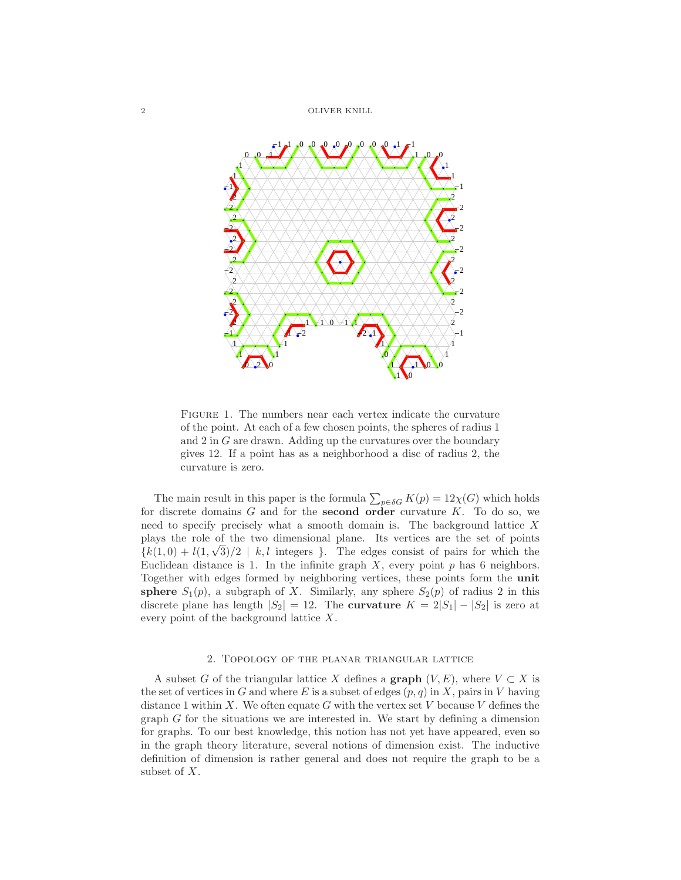2 OLIVER KNILL



FIGURE 1. The numbers near each vertex indicate the curvature of the point. At each of a few chosen points, the spheres of radius 1 and 2 in G are drawn. Adding up the curvatures over the boundary gives 12. If a point has as a neighborhood a disc of radius 2, the curvature is zero.

The main result in this paper is the formula  $\sum_{p \in \delta G} K(p) = 12\chi(G)$  which holds for discrete domains  $G$  and for the **second order** curvature  $K$ . To do so, we need to specify precisely what a smooth domain is. The background lattice X plays the role of the two dimensional plane. Its vertices are the set of points  ${k(1,0) + l(1,\sqrt{3})/2 \mid k,l}$  integers }. The edges consist of pairs for which the Euclidean distance is 1. In the infinite graph  $X$ , every point  $p$  has 6 neighbors. Together with edges formed by neighboring vertices, these points form the unit sphere  $S_1(p)$ , a subgraph of X. Similarly, any sphere  $S_2(p)$  of radius 2 in this discrete plane has length  $|S_2| = 12$ . The **curvature**  $K = 2|S_1| - |S_2|$  is zero at every point of the background lattice X.

# 2. Topology of the planar triangular lattice

A subset G of the triangular lattice X defines a graph  $(V, E)$ , where  $V \subset X$  is the set of vertices in G and where E is a subset of edges  $(p, q)$  in X, pairs in V having distance 1 within X. We often equate G with the vertex set V because V defines the graph  $G$  for the situations we are interested in. We start by defining a dimension for graphs. To our best knowledge, this notion has not yet have appeared, even so in the graph theory literature, several notions of dimension exist. The inductive definition of dimension is rather general and does not require the graph to be a subset of X.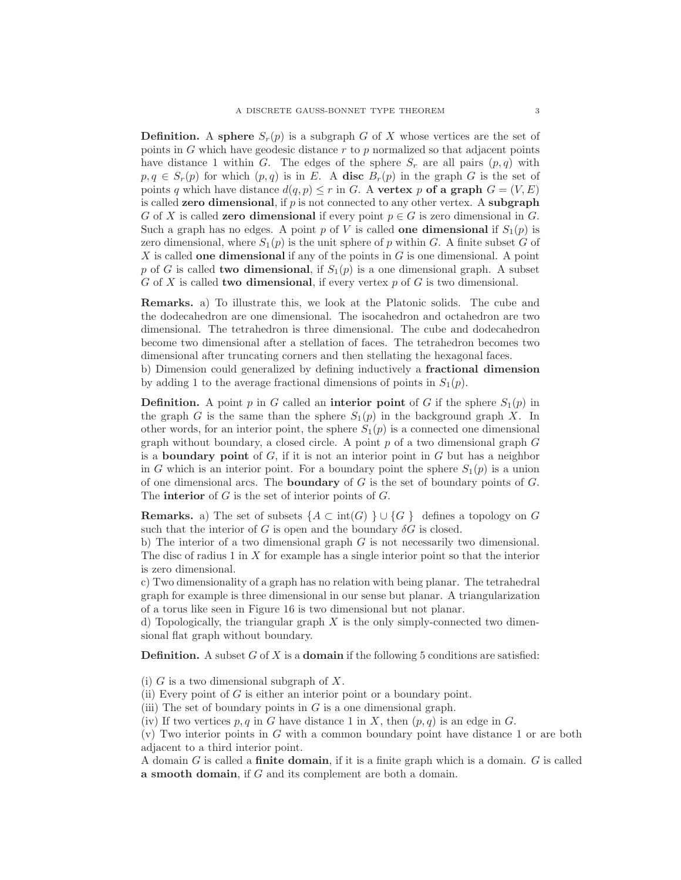**Definition.** A sphere  $S_r(p)$  is a subgraph G of X whose vertices are the set of points in  $G$  which have geodesic distance  $r$  to  $p$  normalized so that adjacent points have distance 1 within G. The edges of the sphere  $S_r$  are all pairs  $(p, q)$  with  $p, q \in S_r(p)$  for which  $(p, q)$  is in E. A disc  $B_r(p)$  in the graph G is the set of points q which have distance  $d(q, p) \leq r$  in G. A vertex p of a graph  $G = (V, E)$ is called zero dimensional, if  $p$  is not connected to any other vertex. A subgraph G of X is called **zero dimensional** if every point  $p \in G$  is zero dimensional in G. Such a graph has no edges. A point p of V is called one dimensional if  $S_1(p)$  is zero dimensional, where  $S_1(p)$  is the unit sphere of p within G. A finite subset G of  $X$  is called one dimensional if any of the points in  $G$  is one dimensional. A point p of G is called **two dimensional**, if  $S_1(p)$  is a one dimensional graph. A subset  $G$  of X is called **two dimensional**, if every vertex  $p$  of  $G$  is two dimensional.

Remarks. a) To illustrate this, we look at the Platonic solids. The cube and the dodecahedron are one dimensional. The isocahedron and octahedron are two dimensional. The tetrahedron is three dimensional. The cube and dodecahedron become two dimensional after a stellation of faces. The tetrahedron becomes two dimensional after truncating corners and then stellating the hexagonal faces.

b) Dimension could generalized by defining inductively a fractional dimension by adding 1 to the average fractional dimensions of points in  $S_1(p)$ .

**Definition.** A point p in G called an interior point of G if the sphere  $S_1(p)$  in the graph G is the same than the sphere  $S_1(p)$  in the background graph X. In other words, for an interior point, the sphere  $S_1(p)$  is a connected one dimensional graph without boundary, a closed circle. A point  $p$  of a two dimensional graph  $G$ is a **boundary point** of  $G$ , if it is not an interior point in  $G$  but has a neighbor in G which is an interior point. For a boundary point the sphere  $S_1(p)$  is a union of one dimensional arcs. The **boundary** of  $G$  is the set of boundary points of  $G$ . The **interior** of  $G$  is the set of interior points of  $G$ .

**Remarks.** a) The set of subsets  $\{A \subset \text{int}(G) \} \cup \{G\}$  defines a topology on G such that the interior of G is open and the boundary  $\delta G$  is closed.

b) The interior of a two dimensional graph  $G$  is not necessarily two dimensional. The disc of radius 1 in  $X$  for example has a single interior point so that the interior is zero dimensional.

c) Two dimensionality of a graph has no relation with being planar. The tetrahedral graph for example is three dimensional in our sense but planar. A triangularization of a torus like seen in Figure 16 is two dimensional but not planar.

d) Topologically, the triangular graph  $X$  is the only simply-connected two dimensional flat graph without boundary.

**Definition.** A subset G of X is a **domain** if the following 5 conditions are satisfied:

(i)  $G$  is a two dimensional subgraph of  $X$ .

(ii) Every point of  $G$  is either an interior point or a boundary point.

(iii) The set of boundary points in  $G$  is a one dimensional graph.

(iv) If two vertices p, q in G have distance 1 in X, then  $(p, q)$  is an edge in G.

(v) Two interior points in G with a common boundary point have distance 1 or are both adjacent to a third interior point.

A domain  $G$  is called a **finite domain**, if it is a finite graph which is a domain.  $G$  is called a smooth domain, if G and its complement are both a domain.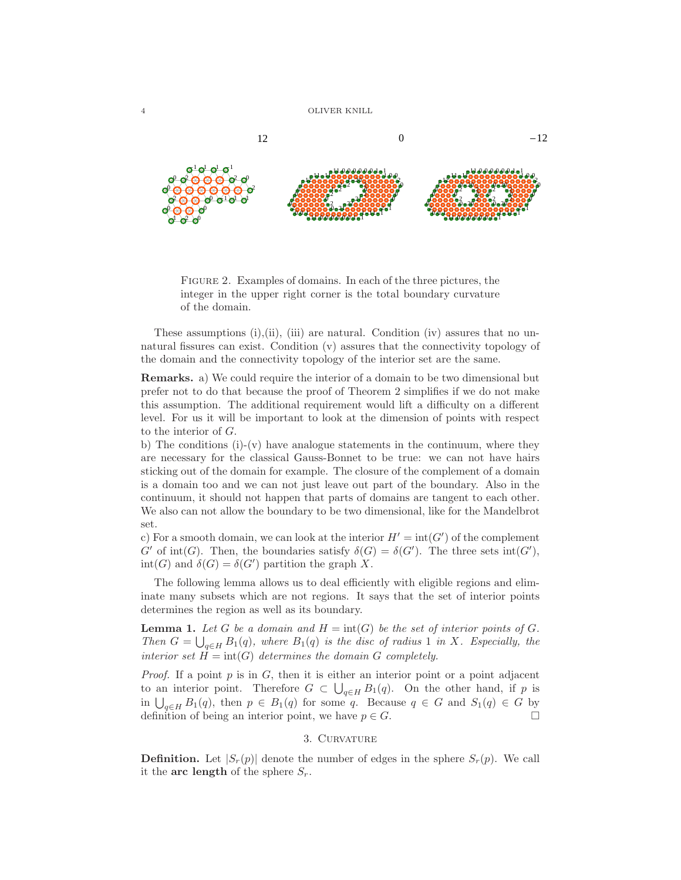

Figure 2. Examples of domains. In each of the three pictures, the integer in the upper right corner is the total boundary curvature of the domain.

These assumptions  $(i), (ii), (iii)$  are natural. Condition  $(iv)$  assures that no unnatural fissures can exist. Condition (v) assures that the connectivity topology of the domain and the connectivity topology of the interior set are the same.

Remarks. a) We could require the interior of a domain to be two dimensional but prefer not to do that because the proof of Theorem 2 simplifies if we do not make this assumption. The additional requirement would lift a difficulty on a different level. For us it will be important to look at the dimension of points with respect to the interior of G.

b) The conditions  $(i)-(v)$  have analogue statements in the continuum, where they are necessary for the classical Gauss-Bonnet to be true: we can not have hairs sticking out of the domain for example. The closure of the complement of a domain is a domain too and we can not just leave out part of the boundary. Also in the continuum, it should not happen that parts of domains are tangent to each other. We also can not allow the boundary to be two dimensional, like for the Mandelbrot set.

c) For a smooth domain, we can look at the interior  $H' = \text{int}(G')$  of the complement  $G'$  of int(G). Then, the boundaries satisfy  $\delta(G) = \delta(G')$ . The three sets int(G'), int(G) and  $\delta(G) = \delta(G')$  partition the graph X.

The following lemma allows us to deal efficiently with eligible regions and eliminate many subsets which are not regions. It says that the set of interior points determines the region as well as its boundary.

**Lemma 1.** Let G be a domain and  $H = \text{int}(G)$  be the set of interior points of G. Then  $G = \bigcup_{q \in H} B_1(q)$ , where  $B_1(q)$  is the disc of radius 1 in X. Especially, the interior set  $H = \text{int}(G)$  determines the domain G completely.

*Proof.* If a point  $p$  is in  $G$ , then it is either an interior point or a point adjacent to an interior point. Therefore  $G \subset \bigcup_{q \in H} B_1(q)$ . On the other hand, if p is in  $\bigcup_{q\in H} B_1(q)$ , then  $p \in B_1(q)$  for some q. Because  $q \in G$  and  $S_1(q) \in G$  by definition of being an interior point, we have  $p \in G$ .

### 3. CURVATURE

**Definition.** Let  $|S_r(p)|$  denote the number of edges in the sphere  $S_r(p)$ . We call it the arc length of the sphere  $S_r$ .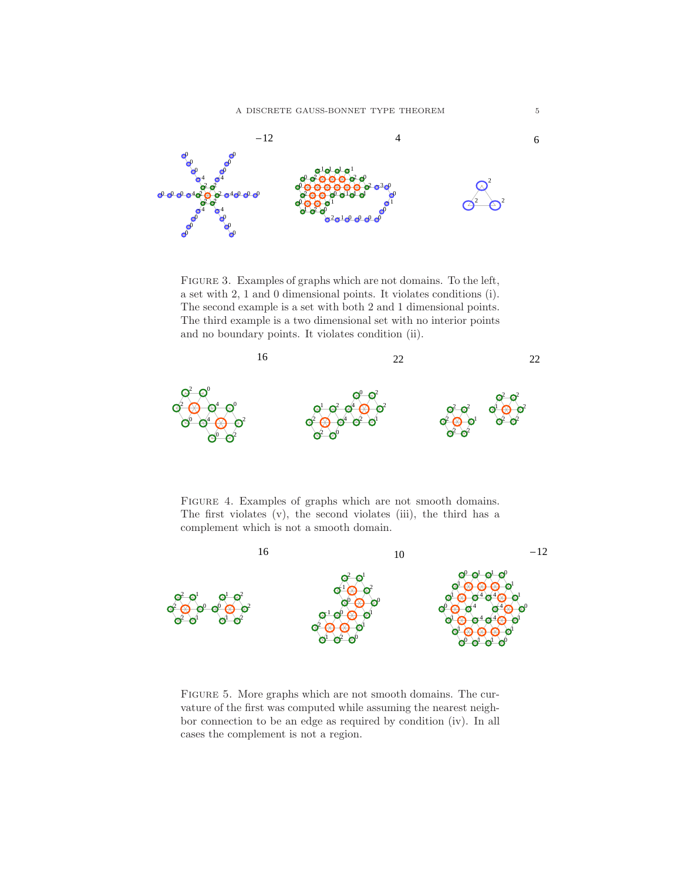

FIGURE 3. Examples of graphs which are not domains. To the left, a set with 2, 1 and 0 dimensional points. It violates conditions (i). The second example is a set with both 2 and 1 dimensional points. The third example is a two dimensional set with no interior points and no boundary points. It violates condition (ii).



FIGURE 4. Examples of graphs which are not smooth domains. The first violates (v), the second violates (iii), the third has a complement which is not a smooth domain.



FIGURE 5. More graphs which are not smooth domains. The curvature of the first was computed while assuming the nearest neighbor connection to be an edge as required by condition (iv). In all cases the complement is not a region.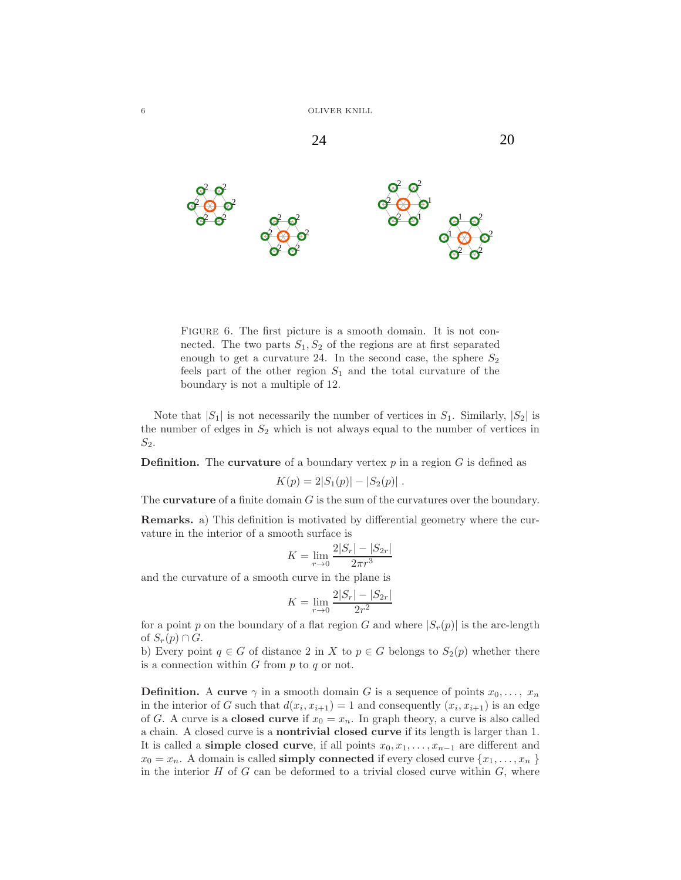

FIGURE 6. The first picture is a smooth domain. It is not connected. The two parts  $S_1, S_2$  of the regions are at first separated enough to get a curvature 24. In the second case, the sphere  $S_2$ feels part of the other region  $S_1$  and the total curvature of the boundary is not a multiple of 12.

Note that  $|S_1|$  is not necessarily the number of vertices in  $S_1$ . Similarly,  $|S_2|$  is the number of edges in  $S_2$  which is not always equal to the number of vertices in  $S_2$ .

**Definition.** The **curvature** of a boundary vertex  $p$  in a region  $G$  is defined as

$$
K(p) = 2|S_1(p)| - |S_2(p)|.
$$

The **curvature** of a finite domain  $G$  is the sum of the curvatures over the boundary.

Remarks. a) This definition is motivated by differential geometry where the curvature in the interior of a smooth surface is

$$
K = \lim_{r \to 0} \frac{2|S_r| - |S_{2r}|}{2\pi r^3}
$$

and the curvature of a smooth curve in the plane is

$$
K = \lim_{r \to 0} \frac{2|S_r| - |S_{2r}|}{2r^2}
$$

for a point p on the boundary of a flat region G and where  $|S_r(p)|$  is the arc-length of  $S_r(p) \cap G$ .

b) Every point  $q \in G$  of distance 2 in X to  $p \in G$  belongs to  $S_2(p)$  whether there is a connection within  $G$  from  $p$  to  $q$  or not.

**Definition.** A curve  $\gamma$  in a smooth domain G is a sequence of points  $x_0, \ldots, x_n$ in the interior of G such that  $d(x_i, x_{i+1}) = 1$  and consequently  $(x_i, x_{i+1})$  is an edge of G. A curve is a **closed curve** if  $x_0 = x_n$ . In graph theory, a curve is also called a chain. A closed curve is a nontrivial closed curve if its length is larger than 1. It is called a **simple closed curve**, if all points  $x_0, x_1, \ldots, x_{n-1}$  are different and  $x_0 = x_n$ . A domain is called **simply connected** if every closed curve  $\{x_1, \ldots, x_n\}$ in the interior  $H$  of  $G$  can be deformed to a trivial closed curve within  $G$ , where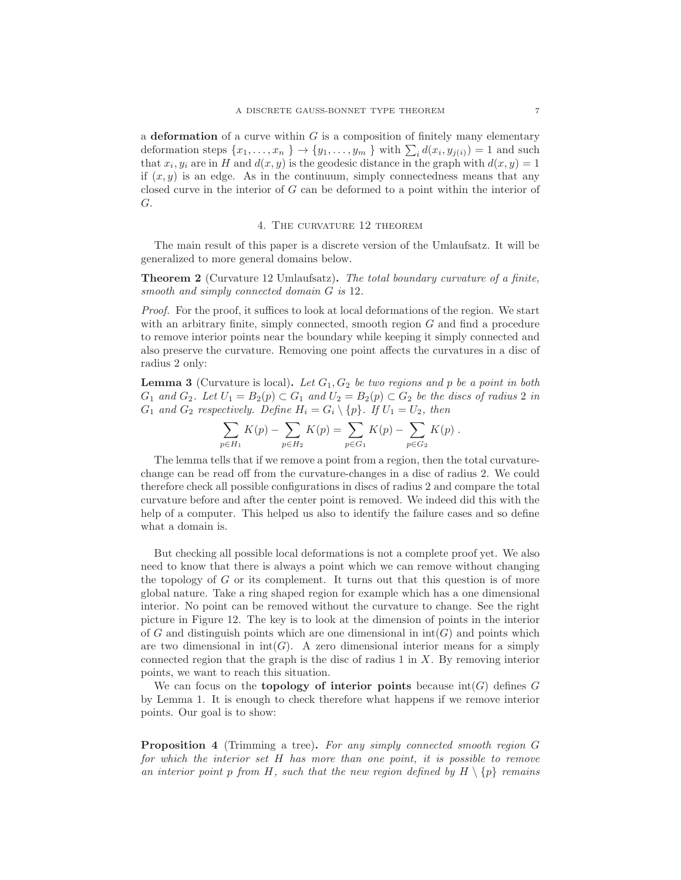a deformation of a curve within  $G$  is a composition of finitely many elementary deformation steps  $\{x_1, \ldots, x_n\} \to \{y_1, \ldots, y_m\}$  with  $\sum_i d(x_i, y_{j(i)}) = 1$  and such that  $x_i, y_i$  are in H and  $d(x, y)$  is the geodesic distance in the graph with  $d(x, y) = 1$ if  $(x, y)$  is an edge. As in the continuum, simply connectedness means that any closed curve in the interior of G can be deformed to a point within the interior of G.

### 4. The curvature 12 theorem

The main result of this paper is a discrete version of the Umlaufsatz. It will be generalized to more general domains below.

Theorem 2 (Curvature 12 Umlaufsatz). The total boundary curvature of a finite, smooth and simply connected domain  $G$  is 12.

Proof. For the proof, it suffices to look at local deformations of the region. We start with an arbitrary finite, simply connected, smooth region  $G$  and find a procedure to remove interior points near the boundary while keeping it simply connected and also preserve the curvature. Removing one point affects the curvatures in a disc of radius 2 only:

**Lemma 3** (Curvature is local). Let  $G_1, G_2$  be two regions and p be a point in both  $G_1$  and  $G_2$ . Let  $U_1 = B_2(p) \subset G_1$  and  $U_2 = B_2(p) \subset G_2$  be the discs of radius 2 in  $G_1$  and  $G_2$  respectively. Define  $H_i = G_i \setminus \{p\}$ . If  $U_1 = U_2$ , then

$$
\sum_{p \in H_1} K(p) - \sum_{p \in H_2} K(p) = \sum_{p \in G_1} K(p) - \sum_{p \in G_2} K(p) .
$$

The lemma tells that if we remove a point from a region, then the total curvaturechange can be read off from the curvature-changes in a disc of radius 2. We could therefore check all possible configurations in discs of radius 2 and compare the total curvature before and after the center point is removed. We indeed did this with the help of a computer. This helped us also to identify the failure cases and so define what a domain is.

But checking all possible local deformations is not a complete proof yet. We also need to know that there is always a point which we can remove without changing the topology of  $G$  or its complement. It turns out that this question is of more global nature. Take a ring shaped region for example which has a one dimensional interior. No point can be removed without the curvature to change. See the right picture in Figure 12. The key is to look at the dimension of points in the interior of G and distinguish points which are one dimensional in  $\text{int}(G)$  and points which are two dimensional in  $int(G)$ . A zero dimensional interior means for a simply connected region that the graph is the disc of radius 1 in  $X$ . By removing interior points, we want to reach this situation.

We can focus on the **topology of interior points** because  $\text{int}(G)$  defines G by Lemma 1. It is enough to check therefore what happens if we remove interior points. Our goal is to show:

Proposition 4 (Trimming a tree). For any simply connected smooth region G for which the interior set H has more than one point, it is possible to remove an interior point p from H, such that the new region defined by  $H \setminus \{p\}$  remains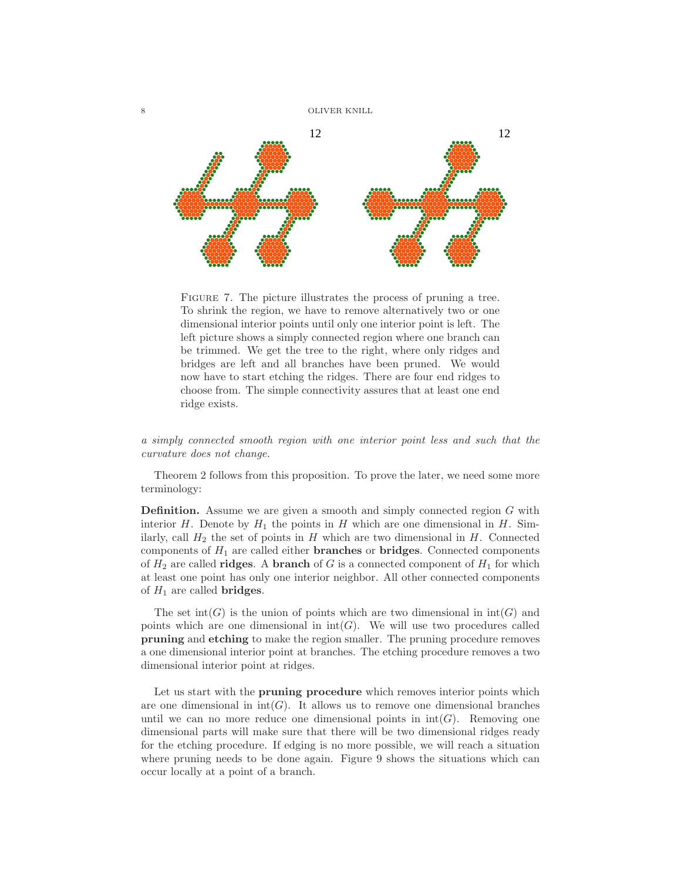



FIGURE 7. The picture illustrates the process of pruning a tree. To shrink the region, we have to remove alternatively two or one dimensional interior points until only one interior point is left. The left picture shows a simply connected region where one branch can be trimmed. We get the tree to the right, where only ridges and bridges are left and all branches have been pruned. We would now have to start etching the ridges. There are four end ridges to choose from. The simple connectivity assures that at least one end ridge exists.

a simply connected smooth region with one interior point less and such that the curvature does not change.

Theorem 2 follows from this proposition. To prove the later, we need some more terminology:

**Definition.** Assume we are given a smooth and simply connected region G with interior H. Denote by  $H_1$  the points in H which are one dimensional in H. Similarly, call  $H_2$  the set of points in  $H$  which are two dimensional in  $H$ . Connected components of  $H_1$  are called either **branches** or **bridges**. Connected components of  $H_2$  are called **ridges**. A **branch** of G is a connected component of  $H_1$  for which at least one point has only one interior neighbor. All other connected components of  $H_1$  are called **bridges**.

The set  $\text{int}(G)$  is the union of points which are two dimensional in  $\text{int}(G)$  and points which are one dimensional in  $\text{int}(G)$ . We will use two procedures called pruning and etching to make the region smaller. The pruning procedure removes a one dimensional interior point at branches. The etching procedure removes a two dimensional interior point at ridges.

Let us start with the **pruning procedure** which removes interior points which are one dimensional in  $\text{int}(G)$ . It allows us to remove one dimensional branches until we can no more reduce one dimensional points in  $\text{int}(G)$ . Removing one dimensional parts will make sure that there will be two dimensional ridges ready for the etching procedure. If edging is no more possible, we will reach a situation where pruning needs to be done again. Figure 9 shows the situations which can occur locally at a point of a branch.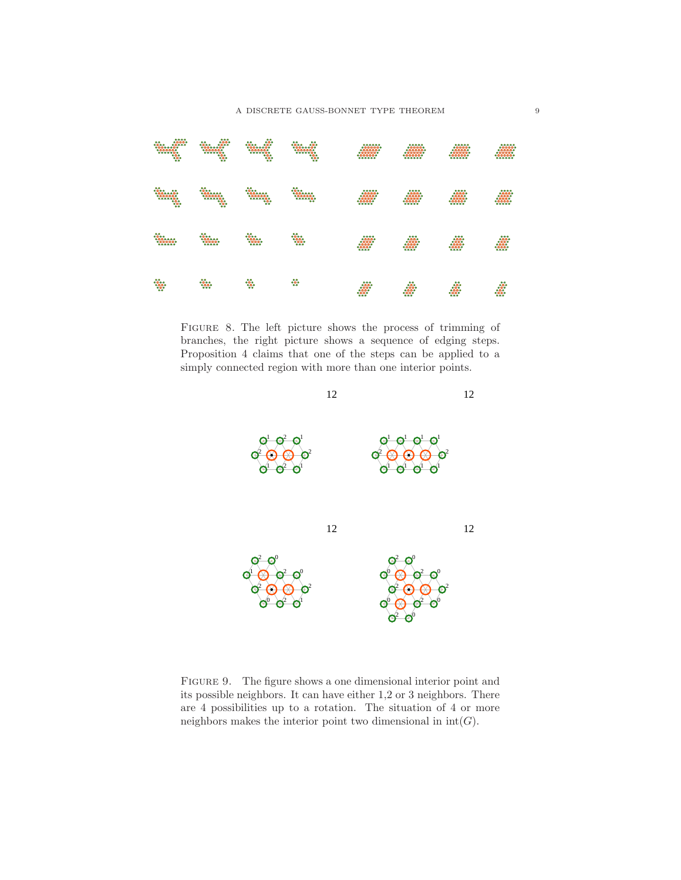

Figure 8. The left picture shows the process of trimming of branches, the right picture shows a sequence of edging steps. Proposition 4 claims that one of the steps can be applied to a simply connected region with more than one interior points.



Figure 9. The figure shows a one dimensional interior point and its possible neighbors. It can have either 1,2 or 3 neighbors. There are 4 possibilities up to a rotation. The situation of 4 or more neighbors makes the interior point two dimensional in  $int(G)$ .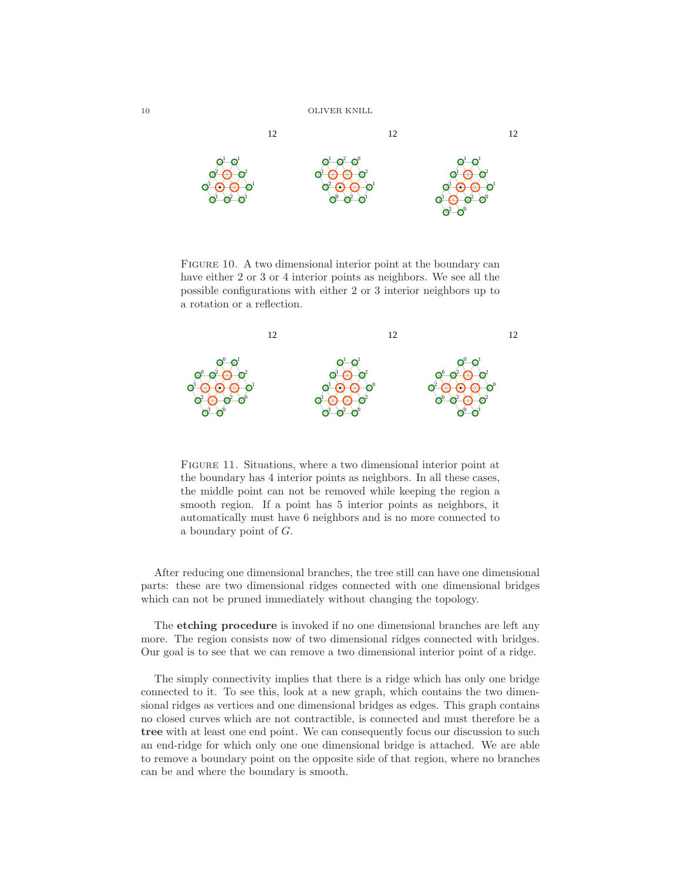

FIGURE 10. A two dimensional interior point at the boundary can have either 2 or 3 or 4 interior points as neighbors. We see all the possible configurations with either 2 or 3 interior neighbors up to a rotation or a reflection.



Figure 11. Situations, where a two dimensional interior point at the boundary has 4 interior points as neighbors. In all these cases, the middle point can not be removed while keeping the region a smooth region. If a point has 5 interior points as neighbors, it automatically must have 6 neighbors and is no more connected to a boundary point of G.

After reducing one dimensional branches, the tree still can have one dimensional parts: these are two dimensional ridges connected with one dimensional bridges which can not be pruned immediately without changing the topology.

The etching procedure is invoked if no one dimensional branches are left any more. The region consists now of two dimensional ridges connected with bridges. Our goal is to see that we can remove a two dimensional interior point of a ridge.

The simply connectivity implies that there is a ridge which has only one bridge connected to it. To see this, look at a new graph, which contains the two dimensional ridges as vertices and one dimensional bridges as edges. This graph contains no closed curves which are not contractible, is connected and must therefore be a tree with at least one end point. We can consequently focus our discussion to such an end-ridge for which only one one dimensional bridge is attached. We are able to remove a boundary point on the opposite side of that region, where no branches can be and where the boundary is smooth.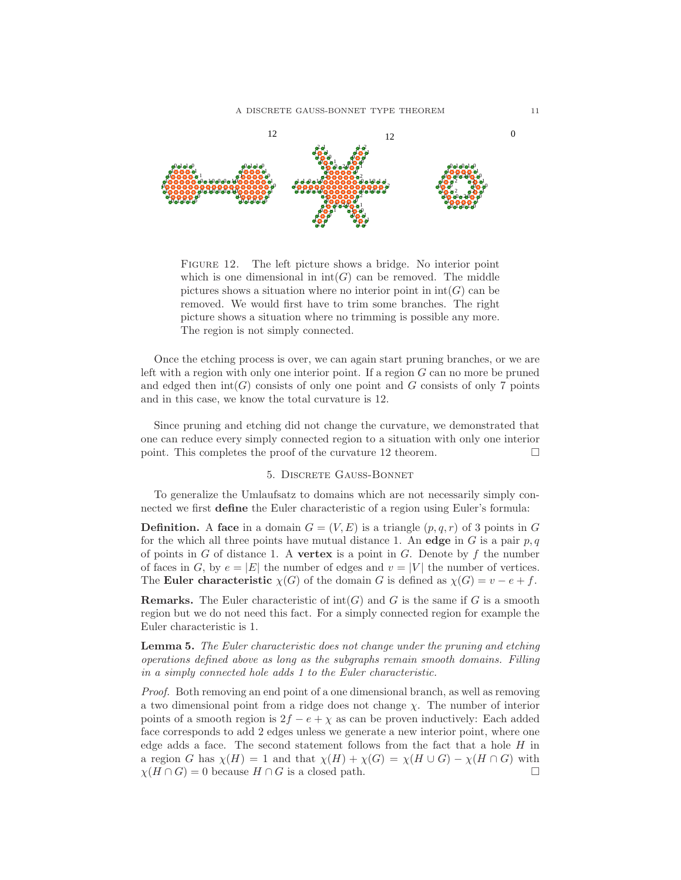

FIGURE 12. The left picture shows a bridge. No interior point which is one dimensional in  $\text{int}(G)$  can be removed. The middle pictures shows a situation where no interior point in  $\text{int}(G)$  can be removed. We would first have to trim some branches. The right picture shows a situation where no trimming is possible any more. The region is not simply connected.

Once the etching process is over, we can again start pruning branches, or we are left with a region with only one interior point. If a region G can no more be pruned and edged then  $\text{int}(G)$  consists of only one point and G consists of only 7 points and in this case, we know the total curvature is 12.

Since pruning and etching did not change the curvature, we demonstrated that one can reduce every simply connected region to a situation with only one interior point. This completes the proof of the curvature 12 theorem.  $\Box$ 

#### 5. Discrete Gauss-Bonnet

To generalize the Umlaufsatz to domains which are not necessarily simply connected we first define the Euler characteristic of a region using Euler's formula:

**Definition.** A face in a domain  $G = (V, E)$  is a triangle  $(p, q, r)$  of 3 points in G for the which all three points have mutual distance 1. An edge in G is a pair  $p, q$ of points in G of distance 1. A vertex is a point in G. Denote by f the number of faces in G, by  $e = |E|$  the number of edges and  $v = |V|$  the number of vertices. The Euler characteristic  $\chi(G)$  of the domain G is defined as  $\chi(G) = v - e + f$ .

**Remarks.** The Euler characteristic of  $\text{int}(G)$  and G is the same if G is a smooth region but we do not need this fact. For a simply connected region for example the Euler characteristic is 1.

Lemma 5. The Euler characteristic does not change under the pruning and etching operations defined above as long as the subgraphs remain smooth domains. Filling in a simply connected hole adds 1 to the Euler characteristic.

Proof. Both removing an end point of a one dimensional branch, as well as removing a two dimensional point from a ridge does not change  $\chi$ . The number of interior points of a smooth region is  $2f - e + \chi$  as can be proven inductively: Each added face corresponds to add 2 edges unless we generate a new interior point, where one edge adds a face. The second statement follows from the fact that a hole  $H$  in a region G has  $\chi(H) = 1$  and that  $\chi(H) + \chi(G) = \chi(H \cup G) - \chi(H \cap G)$  with  $\chi(H \cap G) = 0$  because  $H \cap G$  is a closed path.  $\chi(H \cap G) = 0$  because  $H \cap G$  is a closed path.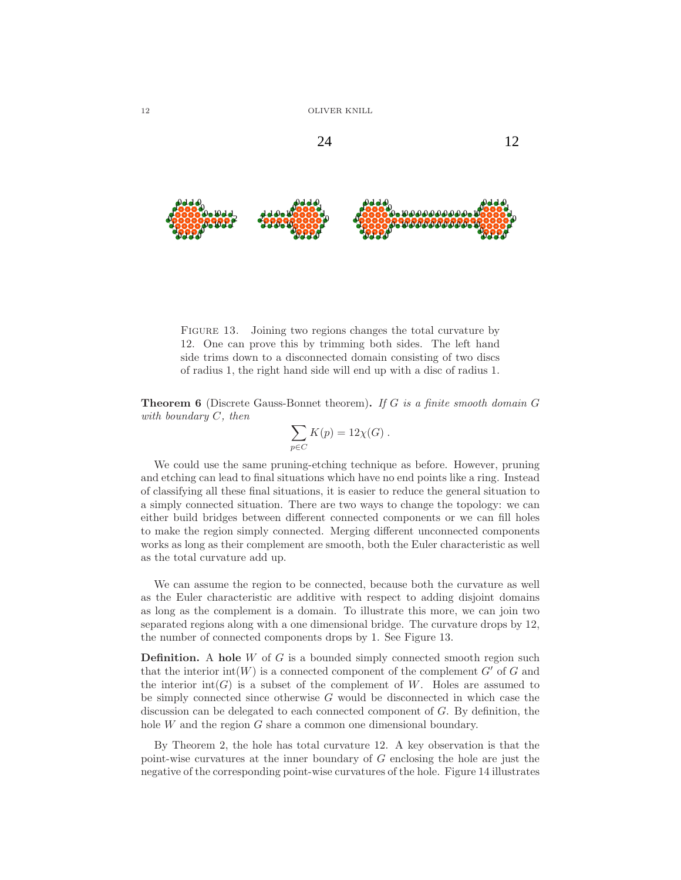OLIVER KNILL



FIGURE 13. Joining two regions changes the total curvature by 12. One can prove this by trimming both sides. The left hand side trims down to a disconnected domain consisting of two discs of radius 1, the right hand side will end up with a disc of radius 1.

**Theorem 6** (Discrete Gauss-Bonnet theorem). If G is a finite smooth domain  $G$ with boundary C, then

$$
\sum_{p \in C} K(p) = 12\chi(G) .
$$

We could use the same pruning-etching technique as before. However, pruning and etching can lead to final situations which have no end points like a ring. Instead of classifying all these final situations, it is easier to reduce the general situation to a simply connected situation. There are two ways to change the topology: we can either build bridges between different connected components or we can fill holes to make the region simply connected. Merging different unconnected components works as long as their complement are smooth, both the Euler characteristic as well as the total curvature add up.

We can assume the region to be connected, because both the curvature as well as the Euler characteristic are additive with respect to adding disjoint domains as long as the complement is a domain. To illustrate this more, we can join two separated regions along with a one dimensional bridge. The curvature drops by 12, the number of connected components drops by 1. See Figure 13.

**Definition.** A hole  $W$  of  $G$  is a bounded simply connected smooth region such that the interior  $int(W)$  is a connected component of the complement  $G'$  of G and the interior  $int(G)$  is a subset of the complement of W. Holes are assumed to be simply connected since otherwise  $G$  would be disconnected in which case the discussion can be delegated to each connected component of G. By definition, the hole W and the region G share a common one dimensional boundary.

By Theorem 2, the hole has total curvature 12. A key observation is that the point-wise curvatures at the inner boundary of G enclosing the hole are just the negative of the corresponding point-wise curvatures of the hole. Figure 14 illustrates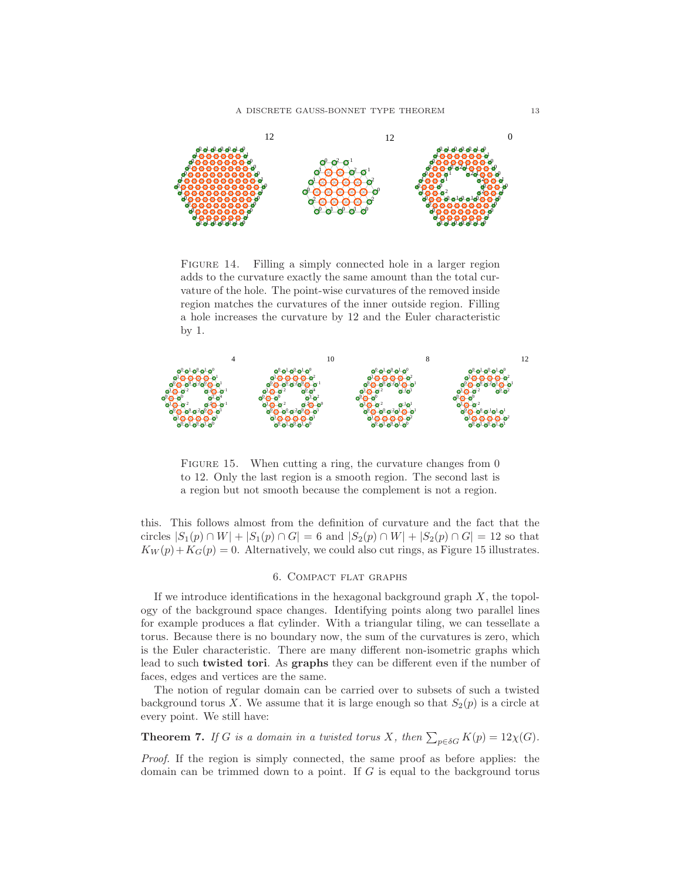

FIGURE 14. Filling a simply connected hole in a larger region adds to the curvature exactly the same amount than the total curvature of the hole. The point-wise curvatures of the removed inside region matches the curvatures of the inner outside region. Filling a hole increases the curvature by 12 and the Euler characteristic by 1.



FIGURE 15. When cutting a ring, the curvature changes from 0 to 12. Only the last region is a smooth region. The second last is a region but not smooth because the complement is not a region.

this. This follows almost from the definition of curvature and the fact that the circles  $|S_1(p) \cap W| + |S_1(p) \cap G| = 6$  and  $|S_2(p) \cap W| + |S_2(p) \cap G| = 12$  so that  $K_W(p) + K_G(p) = 0$ . Alternatively, we could also cut rings, as Figure 15 illustrates.

### 6. Compact flat graphs

If we introduce identifications in the hexagonal background graph  $X$ , the topology of the background space changes. Identifying points along two parallel lines for example produces a flat cylinder. With a triangular tiling, we can tessellate a torus. Because there is no boundary now, the sum of the curvatures is zero, which is the Euler characteristic. There are many different non-isometric graphs which lead to such twisted tori. As graphs they can be different even if the number of faces, edges and vertices are the same.

The notion of regular domain can be carried over to subsets of such a twisted background torus X. We assume that it is large enough so that  $S_2(p)$  is a circle at every point. We still have:

**Theorem 7.** If G is a domain in a twisted torus X, then  $\sum_{p \in \delta G} K(p) = 12\chi(G)$ .

Proof. If the region is simply connected, the same proof as before applies: the domain can be trimmed down to a point. If  $G$  is equal to the background torus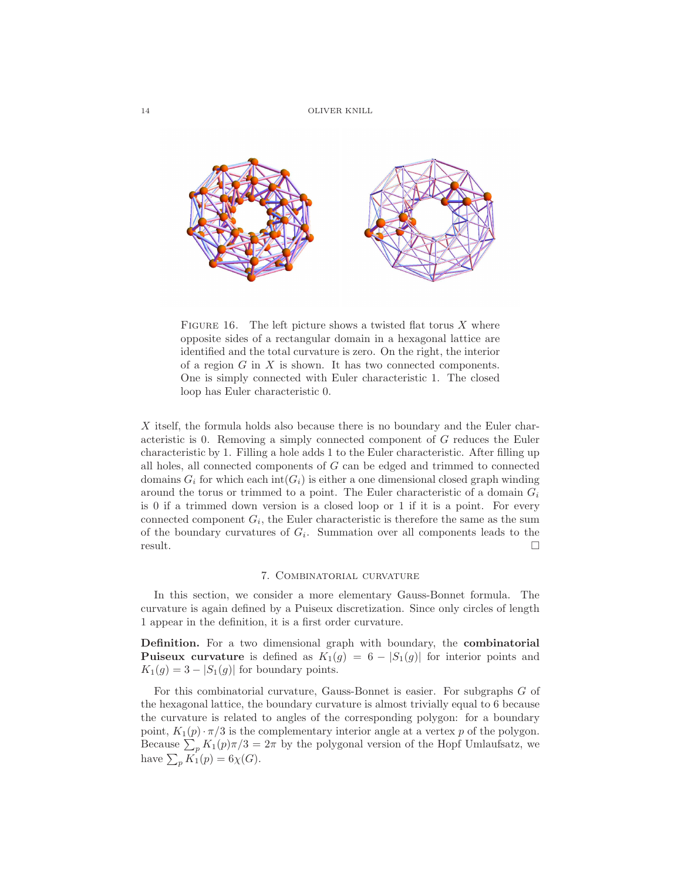

FIGURE 16. The left picture shows a twisted flat torus  $X$  where opposite sides of a rectangular domain in a hexagonal lattice are identified and the total curvature is zero. On the right, the interior of a region  $G$  in  $X$  is shown. It has two connected components. One is simply connected with Euler characteristic 1. The closed loop has Euler characteristic 0.

X itself, the formula holds also because there is no boundary and the Euler characteristic is 0. Removing a simply connected component of G reduces the Euler characteristic by 1. Filling a hole adds 1 to the Euler characteristic. After filling up all holes, all connected components of G can be edged and trimmed to connected domains  $G_i$  for which each int $(G_i)$  is either a one dimensional closed graph winding around the torus or trimmed to a point. The Euler characteristic of a domain  $G_i$ is 0 if a trimmed down version is a closed loop or 1 if it is a point. For every connected component  $G_i$ , the Euler characteristic is therefore the same as the sum of the boundary curvatures of  $G_i$ . Summation over all components leads to the  $r$ esult.

# 7. Combinatorial curvature

In this section, we consider a more elementary Gauss-Bonnet formula. The curvature is again defined by a Puiseux discretization. Since only circles of length 1 appear in the definition, it is a first order curvature.

Definition. For a two dimensional graph with boundary, the combinatorial **Puiseux curvature** is defined as  $K_1(g) = 6 - |S_1(g)|$  for interior points and  $K_1(g) = 3 - |S_1(g)|$  for boundary points.

For this combinatorial curvature, Gauss-Bonnet is easier. For subgraphs G of the hexagonal lattice, the boundary curvature is almost trivially equal to 6 because the curvature is related to angles of the corresponding polygon: for a boundary point,  $K_1(p) \cdot \pi/3$  is the complementary interior angle at a vertex p of the polygon. Because  $\sum_{p} K_1(p) \pi/3 = 2\pi$  by the polygonal version of the Hopf Umlaufsatz, we have  $\sum_p K_1(p) = 6\chi(G)$ .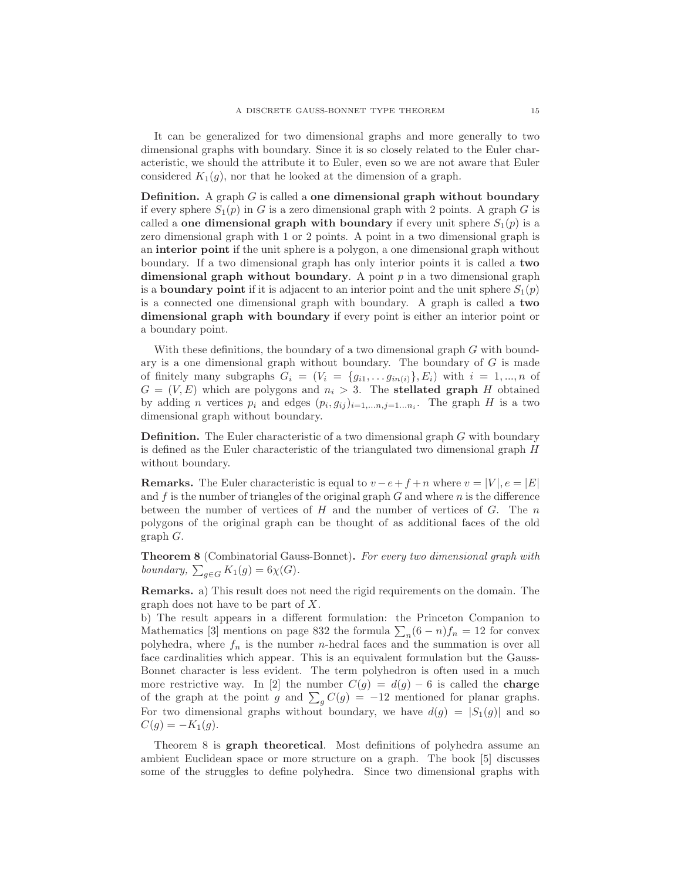It can be generalized for two dimensional graphs and more generally to two dimensional graphs with boundary. Since it is so closely related to the Euler characteristic, we should the attribute it to Euler, even so we are not aware that Euler considered  $K_1(g)$ , nor that he looked at the dimension of a graph.

**Definition.** A graph  $G$  is called a one dimensional graph without boundary if every sphere  $S_1(p)$  in G is a zero dimensional graph with 2 points. A graph G is called a one dimensional graph with boundary if every unit sphere  $S_1(p)$  is a zero dimensional graph with 1 or 2 points. A point in a two dimensional graph is an interior point if the unit sphere is a polygon, a one dimensional graph without boundary. If a two dimensional graph has only interior points it is called a two dimensional graph without boundary. A point  $p$  in a two dimensional graph is a **boundary point** if it is adjacent to an interior point and the unit sphere  $S_1(p)$ is a connected one dimensional graph with boundary. A graph is called a two dimensional graph with boundary if every point is either an interior point or a boundary point.

With these definitions, the boundary of a two dimensional graph  $G$  with boundary is a one dimensional graph without boundary. The boundary of  $G$  is made of finitely many subgraphs  $G_i = (V_i = \{g_{i1}, \ldots g_{in(i)}\}, E_i)$  with  $i = 1, \ldots, n$  of  $G = (V, E)$  which are polygons and  $n<sub>i</sub> > 3$ . The **stellated graph** H obtained by adding *n* vertices  $p_i$  and edges  $(p_i, g_{ij})_{i=1,...n, j=1...n_i}$ . The graph *H* is a two dimensional graph without boundary.

Definition. The Euler characteristic of a two dimensional graph G with boundary is defined as the Euler characteristic of the triangulated two dimensional graph H without boundary.

**Remarks.** The Euler characteristic is equal to  $v - e + f + n$  where  $v = |V|, e = |E|$ and f is the number of triangles of the original graph  $G$  and where  $n$  is the difference between the number of vertices of  $H$  and the number of vertices of  $G$ . The  $n$ polygons of the original graph can be thought of as additional faces of the old graph G.

Theorem 8 (Combinatorial Gauss-Bonnet). For every two dimensional graph with boundary,  $\sum_{g \in G} K_1(g) = 6\chi(G)$ .

Remarks. a) This result does not need the rigid requirements on the domain. The graph does not have to be part of X.

b) The result appears in a different formulation: the Princeton Companion to Mathematics [3] mentions on page 832 the formula  $\sum_{n}(6-n)f_n = 12$  for convex polyhedra, where  $f_n$  is the number *n*-hedral faces and the summation is over all face cardinalities which appear. This is an equivalent formulation but the Gauss-Bonnet character is less evident. The term polyhedron is often used in a much more restrictive way. In [2] the number  $C(g) = d(g) - 6$  is called the **charge** of the graph at the point g and  $\sum_{g} C(g) = -12$  mentioned for planar graphs. For two dimensional graphs without boundary, we have  $d(g) = |S_1(g)|$  and so  $C(g) = -K_1(g).$ 

Theorem 8 is graph theoretical. Most definitions of polyhedra assume an ambient Euclidean space or more structure on a graph. The book [5] discusses some of the struggles to define polyhedra. Since two dimensional graphs with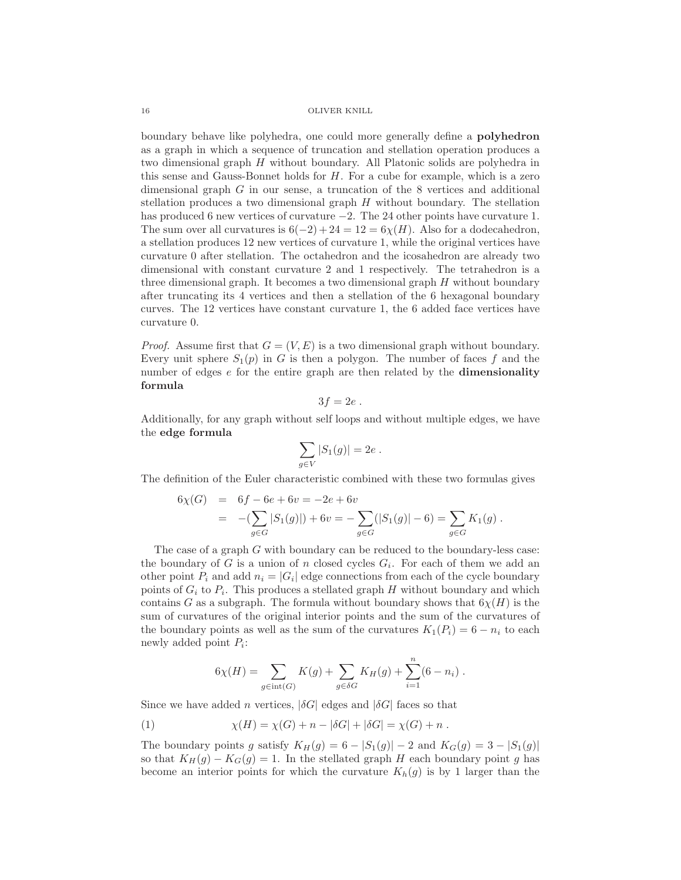16 OLIVER KNILL

boundary behave like polyhedra, one could more generally define a polyhedron as a graph in which a sequence of truncation and stellation operation produces a two dimensional graph H without boundary. All Platonic solids are polyhedra in this sense and Gauss-Bonnet holds for  $H$ . For a cube for example, which is a zero dimensional graph G in our sense, a truncation of the 8 vertices and additional stellation produces a two dimensional graph  $H$  without boundary. The stellation has produced 6 new vertices of curvature −2. The 24 other points have curvature 1. The sum over all curvatures is  $6(-2) + 24 = 12 = 6\chi(H)$ . Also for a dodecahedron, a stellation produces 12 new vertices of curvature 1, while the original vertices have curvature 0 after stellation. The octahedron and the icosahedron are already two dimensional with constant curvature 2 and 1 respectively. The tetrahedron is a three dimensional graph. It becomes a two dimensional graph  $H$  without boundary after truncating its 4 vertices and then a stellation of the 6 hexagonal boundary curves. The 12 vertices have constant curvature 1, the 6 added face vertices have curvature 0.

*Proof.* Assume first that  $G = (V, E)$  is a two dimensional graph without boundary. Every unit sphere  $S_1(p)$  in G is then a polygon. The number of faces f and the number of edges  $e$  for the entire graph are then related by the **dimensionality** formula

$$
3f=2e.
$$

Additionally, for any graph without self loops and without multiple edges, we have the edge formula

$$
\sum_{g \in V} |S_1(g)| = 2e.
$$

The definition of the Euler characteristic combined with these two formulas gives

$$
6\chi(G) = 6f - 6e + 6v = -2e + 6v
$$
  
= 
$$
-(\sum_{g \in G} |S_1(g)|) + 6v = -\sum_{g \in G} (|S_1(g)| - 6) = \sum_{g \in G} K_1(g).
$$

The case of a graph G with boundary can be reduced to the boundary-less case: the boundary of G is a union of n closed cycles  $G_i$ . For each of them we add an other point  $P_i$  and add  $n_i = |G_i|$  edge connections from each of the cycle boundary points of  $G_i$  to  $P_i$ . This produces a stellated graph H without boundary and which contains G as a subgraph. The formula without boundary shows that  $6\chi(H)$  is the sum of curvatures of the original interior points and the sum of the curvatures of the boundary points as well as the sum of the curvatures  $K_1(P_i) = 6 - n_i$  to each newly added point  $P_i$ :

$$
6\chi(H) = \sum_{g \in \text{int}(G)} K(g) + \sum_{g \in \delta G} K_H(g) + \sum_{i=1}^n (6 - n_i) .
$$

Since we have added *n* vertices,  $|\delta G|$  edges and  $|\delta G|$  faces so that

(1) 
$$
\chi(H) = \chi(G) + n - |\delta G| + |\delta G| = \chi(G) + n.
$$

The boundary points g satisfy  $K_H(g) = 6 - |S_1(g)| - 2$  and  $K_G(g) = 3 - |S_1(g)|$ so that  $K_H(g) - K_G(g) = 1$ . In the stellated graph H each boundary point g has become an interior points for which the curvature  $K_h(g)$  is by 1 larger than the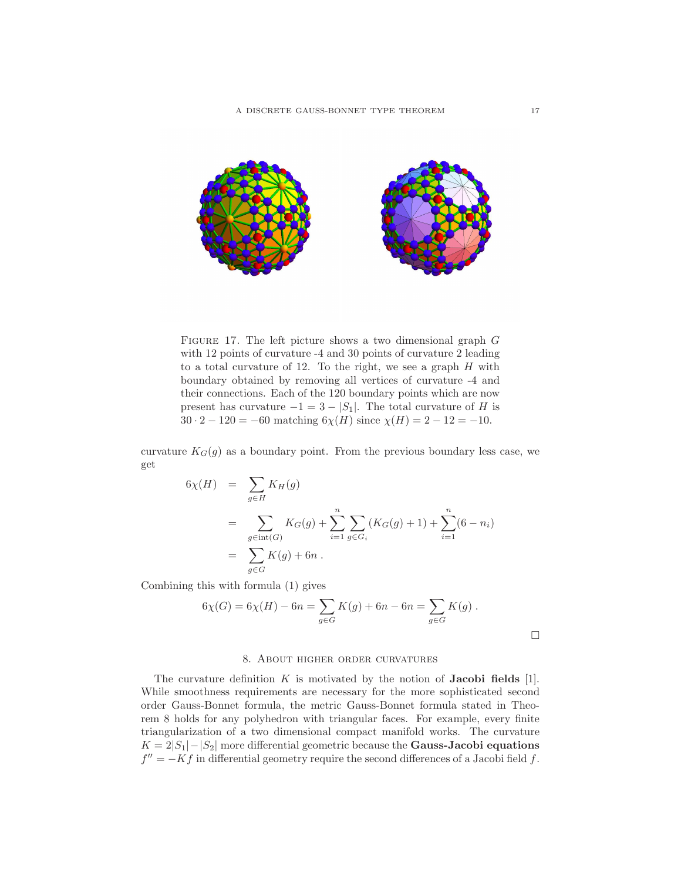

FIGURE 17. The left picture shows a two dimensional graph  $G$ with 12 points of curvature -4 and 30 points of curvature 2 leading to a total curvature of 12. To the right, we see a graph  $H$  with boundary obtained by removing all vertices of curvature -4 and their connections. Each of the 120 boundary points which are now present has curvature  $-1 = 3 - |S_1|$ . The total curvature of H is  $30 \cdot 2 - 120 = -60$  matching  $6\chi(H)$  since  $\chi(H) = 2 - 12 = -10$ .

curvature  $K_G(g)$  as a boundary point. From the previous boundary less case, we get

$$
6\chi(H) = \sum_{g \in H} K_H(g)
$$
  
= 
$$
\sum_{g \in int(G)} K_G(g) + \sum_{i=1}^n \sum_{g \in G_i} (K_G(g) + 1) + \sum_{i=1}^n (6 - n_i)
$$
  
= 
$$
\sum_{g \in G} K(g) + 6n.
$$

Combining this with formula (1) gives

$$
6\chi(G) = 6\chi(H) - 6n = \sum_{g \in G} K(g) + 6n - 6n = \sum_{g \in G} K(g) .
$$

#### 8. About higher order curvatures

The curvature definition  $K$  is motivated by the notion of **Jacobi fields** [1]. While smoothness requirements are necessary for the more sophisticated second order Gauss-Bonnet formula, the metric Gauss-Bonnet formula stated in Theorem 8 holds for any polyhedron with triangular faces. For example, every finite triangularization of a two dimensional compact manifold works. The curvature  $K = 2|S_1| - |S_2|$  more differential geometric because the **Gauss-Jacobi equations**  $f'' = -Kf$  in differential geometry require the second differences of a Jacobi field f.